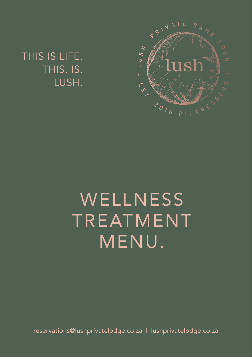THIS IS LIFE. THIS. IS. LUSH.



# **WELLNESS** TREATMENT MENU.

reservations@lushprivatelodge.co.za | lushprivatelodge.co.za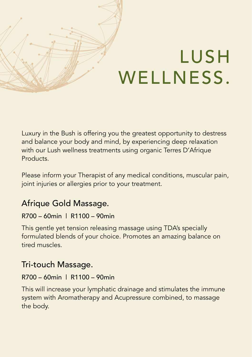# LUSH WELLNESS.

Luxury in the Bush is offering you the greatest opportunity to destress and balance your body and mind, by experiencing deep relaxation with our Lush wellness treatments using organic Terres D'Afrique Products.

Please inform your Therapist of any medical conditions, muscular pain, joint injuries or allergies prior to your treatment.

## Afrique Gold Massage.

#### R700 – 60min | R1100 – 90min

This gentle yet tension releasing massage using TDA's specially formulated blends of your choice. Promotes an amazing balance on tired muscles.

## Tri-touch Massage.

#### R700 – 60min | R1100 – 90min

This will increase your lymphatic drainage and stimulates the immune system with Aromatherapy and Acupressure combined, to massage the body.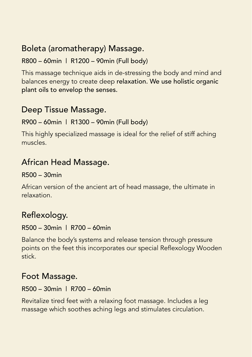## Boleta (aromatherapy) Massage.

#### R800 – 60min | R1200 – 90min (Full body)

This massage technique aids in de-stressing the body and mind and balances energy to create deep relaxation. We use holistic organic plant oils to envelop the senses.

## Deep Tissue Massage.

#### R900 – 60min | R1300 – 90min (Full body)

This highly specialized massage is ideal for the relief of stiff aching muscles.

## African Head Massage.

#### R500 – 30min

African version of the ancient art of head massage, the ultimate in relaxation.

## Reflexology.

#### R500 – 30min | R700 – 60min

Balance the body's systems and release tension through pressure points on the feet this incorporates our special Reflexology Wooden stick.

### Foot Massage.

#### R500 – 30min | R700 – 60min

Revitalize tired feet with a relaxing foot massage. Includes a leg massage which soothes aching legs and stimulates circulation.